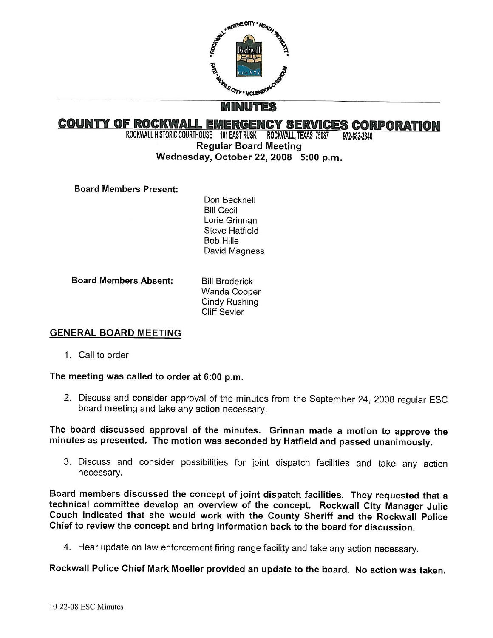

# **COUNTY OF ROCKWALL EMERGENCY SERVICES CORPORATION**<br>ROCKWALL HISTORIC COURTHOUSE 101 EAST RUSK ROCKWALL, TEXAS 75087 972-882-2840

ROCKWALL HISTORIC COURTHOUSE 101 EAST RUSK ROCKWALL, TEXAS 75087 Regular Board Meeting

## Wednesday, October 22, 2008 5:00 p.m.

Board Members Present:

Don Becknell Bill Cecil Lorie Grinnan Steve Hatfield Bob HiIle David Magness

Board Members Absent:

Bill Broderick Wanda Cooper Cindy Rushing Cliff Sevier

## GENERAL BOARD MEETING

1. Call to order

## The meeting was called to order at 6:00 p.m.

2. Discuss and consider approval of the minutes from the September 24, 2008 regular ESC board meeting and take any action necessary.

The board discussed approval of the minutes. Grinnan made a motion to approve the minutes as presented. The motion was seconded by Hatfield and passed unanimously.

3. Discuss and consider possibilities for joint dispatch facilities and take any action necessary.

Board members discussed the concept of joint dispatch facilities. They requested that <sup>a</sup> technical committee develop an overview of the concept. Rockwall City Manager Julie Couch indicated that she would work with the County Sheriff and the Rockwall Police Chief to review the concept and bring information back to the board for discussion.

4. Hear update on law enforcement firing range facility and take any action necessary.

Rockwall Police Chief Mark Moeller provided an update to the board. No action was taken.